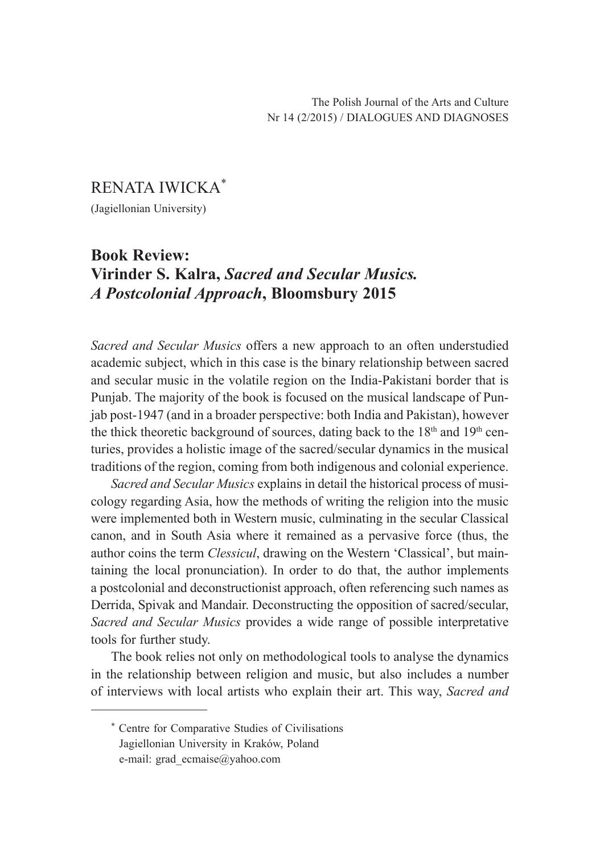## RENATA IWICKA\* (Jagiellonian University)

## **Book Review: Virinder S. Kalra,** *Sacred and Secular Musics. A Postcolonial Approach***, Bloomsbury 2015**

*Sacred and Secular Musics* offers a new approach to an often understudied academic subject, which in this case is the binary relationship between sacred and secular music in the volatile region on the India-Pakistani border that is Punjab. The majority of the book is focused on the musical landscape of Punjab post-1947 (and in a broader perspective: both India and Pakistan), however the thick theoretic background of sources, dating back to the  $18<sup>th</sup>$  and  $19<sup>th</sup>$  centuries, provides a holistic image of the sacred/secular dynamics in the musical traditions of the region, coming from both indigenous and colonial experience.

*Sacred and Secular Musics* explains in detail the historical process of musicology regarding Asia, how the methods of writing the religion into the music were implemented both in Western music, culminating in the secular Classical canon, and in South Asia where it remained as a pervasive force (thus, the author coins the term *Clessicul*, drawing on the Western 'Classical', but maintaining the local pronunciation). In order to do that, the author implements a postcolonial and deconstructionist approach, often referencing such names as Derrida, Spivak and Mandair. Deconstructing the opposition of sacred/secular, *Sacred and Secular Musics* provides a wide range of possible interpretative tools for further study.

The book relies not only on methodological tools to analyse the dynamics in the relationship between religion and music, but also includes a number of interviews with local artists who explain their art. This way, *Sacred and* 

<sup>\*</sup> Centre for Comparative Studies of Civilisations Jagiellonian University in Kraków, Poland e-mail: grad\_ecmaise@yahoo.com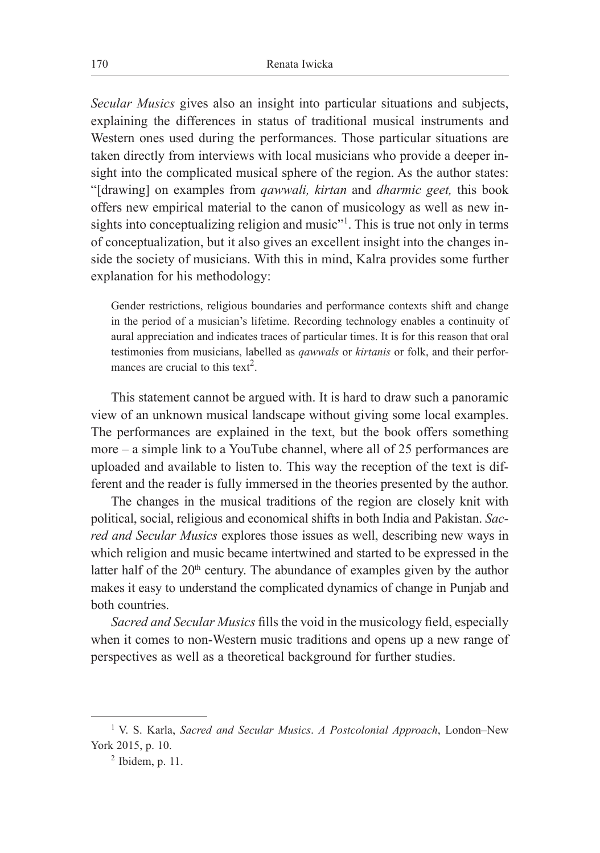*Secular Musics* gives also an insight into particular situations and subjects, explaining the differences in status of traditional musical instruments and Western ones used during the performances. Those particular situations are taken directly from interviews with local musicians who provide a deeper insight into the complicated musical sphere of the region. As the author states: "[drawing] on examples from *qawwali, kirtan* and *dharmic geet,* this book offers new empirical material to the canon of musicology as well as new insights into conceptualizing religion and music"<sup>1</sup>. This is true not only in terms of conceptualization, but it also gives an excellent insight into the changes inside the society of musicians. With this in mind, Kalra provides some further explanation for his methodology:

Gender restrictions, religious boundaries and performance contexts shift and change in the period of a musician's lifetime. Recording technology enables a continuity of aural appreciation and indicates traces of particular times. It is for this reason that oral testimonies from musicians, labelled as *qawwals* or *kirtanis* or folk, and their performances are crucial to this text<sup>2</sup>.

This statement cannot be argued with. It is hard to draw such a panoramic view of an unknown musical landscape without giving some local examples. The performances are explained in the text, but the book offers something more – a simple link to a YouTube channel, where all of 25 performances are uploaded and available to listen to. This way the reception of the text is different and the reader is fully immersed in the theories presented by the author.

The changes in the musical traditions of the region are closely knit with political, social, religious and economical shifts in both India and Pakistan. *Sacred and Secular Musics* explores those issues as well, describing new ways in which religion and music became intertwined and started to be expressed in the latter half of the  $20<sup>th</sup>$  century. The abundance of examples given by the author makes it easy to understand the complicated dynamics of change in Punjab and both countries.

*Sacred and Secular Musics* fills the void in the musicology field, especially when it comes to non-Western music traditions and opens up a new range of perspectives as well as a theoretical background for further studies.

<sup>1</sup> V. S. Karla, *Sacred and Secular Musics*. *A Postcolonial Approach*, London–New York 2015, p. 10.

 $<sup>2</sup>$  Ibidem, p. 11.</sup>